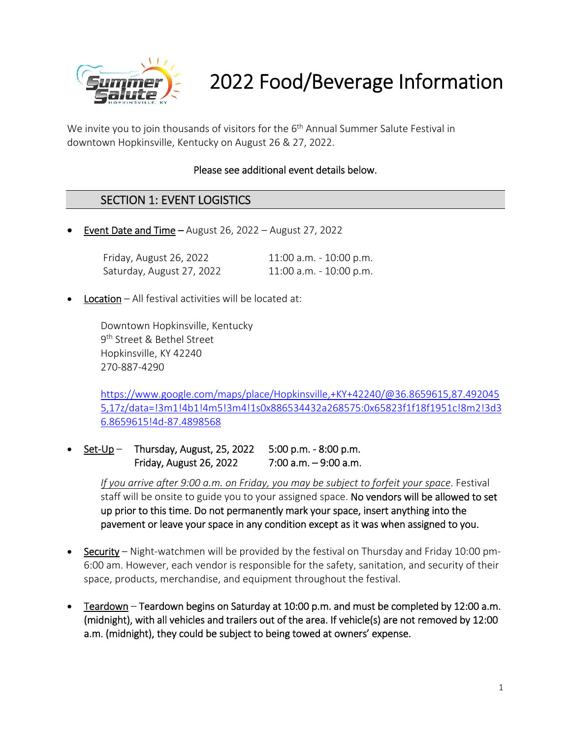

# 2022 Food/Beverage Information

We invite you to join thousands of visitors for the 6<sup>th</sup> Annual Summer Salute Festival in downtown Hopkinsville, Kentucky on August 26 & 27, 2022.

#### Please see additional event details below.

#### SECTION 1: EVENT LOGISTICS

**Event Date and Time – August 26, 2022 – August 27, 2022** 

| Friday, August 26, 2022   | $11:00$ a.m. $-10:00$ p.m. |
|---------------------------|----------------------------|
| Saturday, August 27, 2022 | 11:00 a.m. - 10:00 p.m.    |

Location – All festival activities will be located at:

Downtown Hopkinsville, Kentucky 9th Street & Bethel Street Hopkinsville, KY 42240 270‐887‐4290

https://www.google.com/maps/place/Hopkinsville,+KY+42240/@36.8659615,87.492045 5,17z/data=!3m1!4b1!4m5!3m4!1s0x886534432a268575:0x65823f1f18f1951c!8m2!3d3 6.8659615!4d‐87.4898568

 Set‐Up – Thursday, August, 25, 2022 5:00 p.m. ‐ 8:00 p.m. Friday, August 26, 2022 7:00 a.m. – 9:00 a.m.

> *If you arrive after 9:00 a.m. on Friday, you may be subject to forfeit your space*. Festival staff will be onsite to guide you to your assigned space. No vendors will be allowed to set up prior to this time. Do not permanently mark your space, insert anything into the pavement or leave your space in any condition except as it was when assigned to you.

- Security Night-watchmen will be provided by the festival on Thursday and Friday 10:00 pm-6:00 am. However, each vendor is responsible for the safety, sanitation, and security of their space, products, merchandise, and equipment throughout the festival.
- Teardown Teardown begins on Saturday at 10:00 p.m. and must be completed by 12:00 a.m. (midnight), with all vehicles and trailers out of the area. If vehicle(s) are not removed by 12:00 a.m. (midnight), they could be subject to being towed at owners' expense.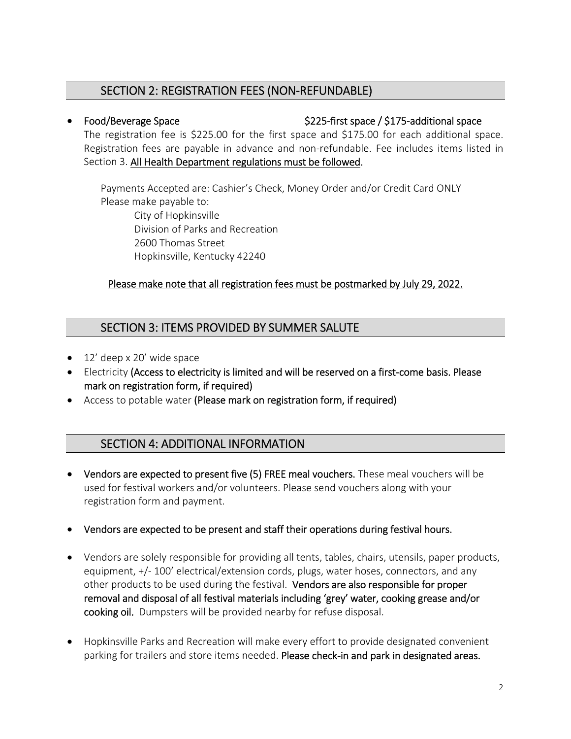# SECTION 2: REGISTRATION FEES (NON‐REFUNDABLE)

#### ● Food/Beverage Space and the second space State S225-first space / \$175-additional space

The registration fee is \$225.00 for the first space and \$175.00 for each additional space. Registration fees are payable in advance and non-refundable. Fee includes items listed in Section 3. All Health Department regulations must be followed.

Payments Accepted are: Cashier's Check, Money Order and/or Credit Card ONLY Please make payable to:

City of Hopkinsville Division of Parks and Recreation 2600 Thomas Street Hopkinsville, Kentucky 42240

#### Please make note that all registration fees must be postmarked by July 29, 2022.

# SECTION 3: ITEMS PROVIDED BY SUMMER SALUTE

- 12' deep x 20' wide space
- Electricity (Access to electricity is limited and will be reserved on a first-come basis. Please mark on registration form, if required)
- Access to potable water (Please mark on registration form, if required)

# SECTION 4: ADDITIONAL INFORMATION

- Vendors are expected to present five (5) FREE meal vouchers. These meal vouchers will be used for festival workers and/or volunteers. Please send vouchers along with your registration form and payment.
- Vendors are expected to be present and staff their operations during festival hours.
- Vendors are solely responsible for providing all tents, tables, chairs, utensils, paper products, equipment, +/- 100' electrical/extension cords, plugs, water hoses, connectors, and any other products to be used during the festival. Vendors are also responsible for proper removal and disposal of all festival materials including 'grey' water, cooking grease and/or cooking oil. Dumpsters will be provided nearby for refuse disposal.
- Hopkinsville Parks and Recreation will make every effort to provide designated convenient parking for trailers and store items needed. Please check-in and park in designated areas.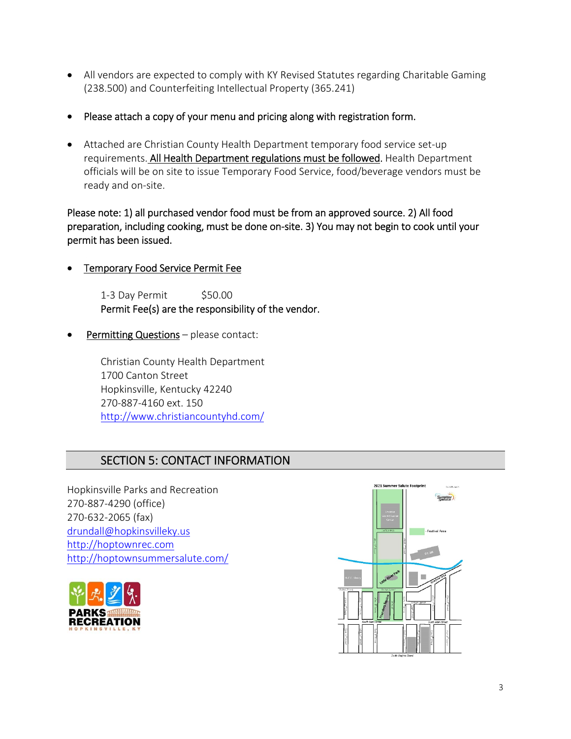- All vendors are expected to comply with KY Revised Statutes regarding Charitable Gaming (238.500) and Counterfeiting Intellectual Property (365.241)
- Please attach a copy of your menu and pricing along with registration form.
- Attached are Christian County Health Department temporary food service set-up requirements. All Health Department regulations must be followed. Health Department officials will be on site to issue Temporary Food Service, food/beverage vendors must be ready and on‐site.

Please note: 1) all purchased vendor food must be from an approved source. 2) All food preparation, including cooking, must be done on‐site. 3) You may not begin to cook until your permit has been issued.

Temporary Food Service Permit Fee

1-3 Day Permit \$50.00 Permit Fee(s) are the responsibility of the vendor.

Permitting Questions - please contact:

Christian County Health Department 1700 Canton Street Hopkinsville, Kentucky 42240 270‐887‐4160 ext. 150 http://www.christiancountyhd.com/

# SECTION 5: CONTACT INFORMATION

Hopkinsville Parks and Recreation 270‐887‐4290 (office) 270‐632‐2065 (fax) drundall@hopkinsvilleky.us http://hoptownrec.com http://hoptownsummersalute.com/



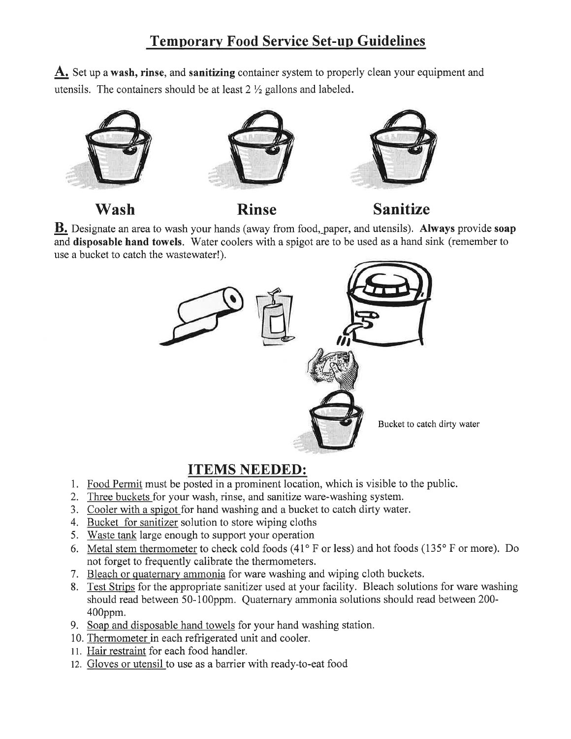# **Temporary Food Service Set-up Guidelines**

A. Set up a wash, rinse, and sanitizing container system to properly clean your equipment and utensils. The containers should be at least  $2 \frac{1}{2}$  gallons and labeled.



Wash

**Rinse** 



**B.** Designate an area to wash your hands (away from food, paper, and utensils). Always provide soap and disposable hand towels. Water coolers with a spigot are to be used as a hand sink (remember to use a bucket to catch the wastewater!).



# **ITEMS NEEDED:**

- 1. Food Permit must be posted in a prominent location, which is visible to the public.
- 2. Three buckets for your wash, rinse, and sanitize ware-washing system.
- 3. Cooler with a spigot for hand washing and a bucket to catch dirty water.
- 4. Bucket for sanitizer solution to store wiping cloths
- 5. Waste tank large enough to support your operation
- 6. Metal stem thermometer to check cold foods (41° F or less) and hot foods (135° F or more). Do not forget to frequently calibrate the thermometers.
- 7. Bleach or quaternary ammonia for ware washing and wiping cloth buckets.
- 8. Test Strips for the appropriate sanitizer used at your facility. Bleach solutions for ware washing should read between 50-100ppm. Quaternary ammonia solutions should read between 200- $400$ ppm.
- 9. Soap and disposable hand towels for your hand washing station.
- 10. Thermometer in each refrigerated unit and cooler.
- 11. Hair restraint for each food handler.
- 12. Gloves or utensil to use as a barrier with ready-to-eat food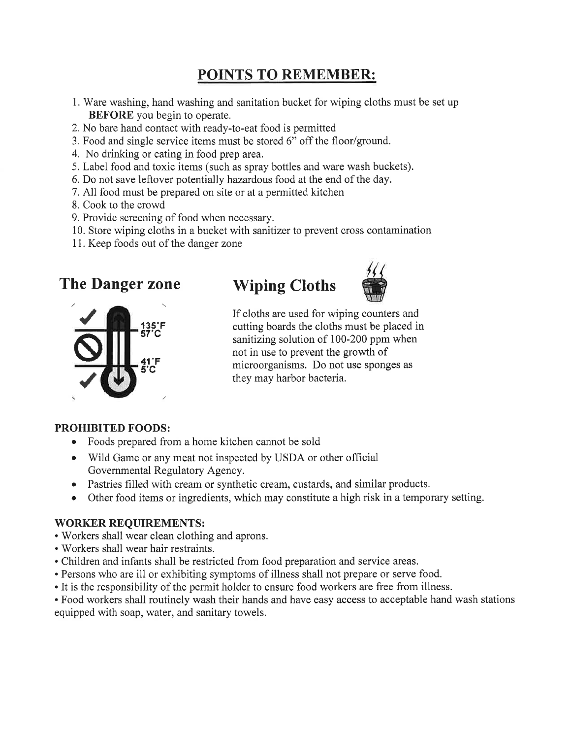# POINTS TO REMEMBER:

- 1. Ware washing, hand washing and sanitation bucket for wiping cloths must be set up **BEFORE** you begin to operate.
- 2. No bare hand contact with ready-to-eat food is permitted
- 3. Food and single service items must be stored 6" off the floor/ground.
- 4. No drinking or eating in food prep area.
- 5. Label food and toxic items (such as spray bottles and ware wash buckets).
- 6. Do not save leftover potentially hazardous food at the end of the day.
- 7. All food must be prepared on site or at a permitted kitchen
- 8. Cook to the crowd
- 9. Provide screening of food when necessary.
- 10. Store wiping cloths in a bucket with sanitizer to prevent cross contamination
- 11. Keep foods out of the danger zone

# **The Danger zone**







If cloths are used for wiping counters and cutting boards the cloths must be placed in sanitizing solution of 100-200 ppm when not in use to prevent the growth of microorganisms. Do not use sponges as they may harbor bacteria.

#### **PROHIBITED FOODS:**

- Foods prepared from a home kitchen cannot be sold
- Wild Game or any meat not inspected by USDA or other official Governmental Regulatory Agency.
- Pastries filled with cream or synthetic cream, custards, and similar products.
- Other food items or ingredients, which may constitute a high risk in a temporary setting.  $\bullet$

#### **WORKER REQUIREMENTS:**

- Workers shall wear clean clothing and aprons.
- Workers shall wear hair restraints.
- Children and infants shall be restricted from food preparation and service areas.
- Persons who are ill or exhibiting symptoms of illness shall not prepare or serve food.
- It is the responsibility of the permit holder to ensure food workers are free from illness.

• Food workers shall routinely wash their hands and have easy access to acceptable hand wash stations equipped with soap, water, and sanitary towels.